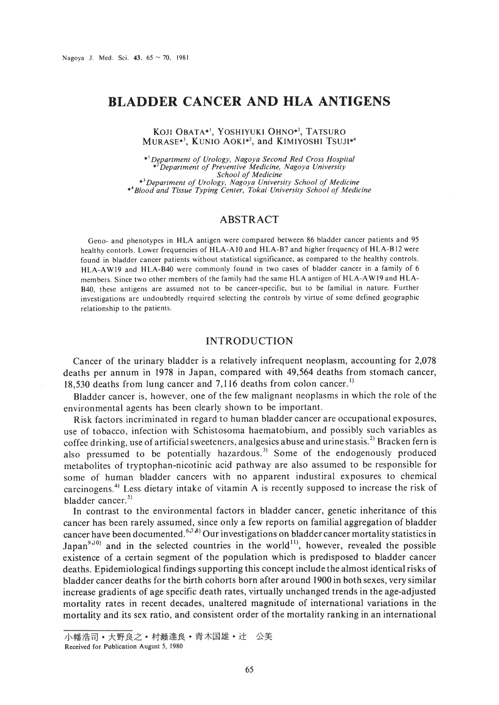# **BLADDER CANCER AND HLA ANTIGENS**

KOJI OBATA\*', YOSHIYUKI OHNO\*', TATSURO MURASE\*<sup>3</sup>, KUNIO AOKI\*<sup>2</sup>, and KIMIYOSHI TSUJI\*<sup>4</sup>

*\*'Deparlment of Urology, Nagoya Second Red Cross Hospital* \*' *Department of Preventive Medicine, Nagoya University* \*<sup>3</sup> Department of Urology, Nagoya University School of Medicine<br>\*<sup>4</sup> Blood and Tissue Typing Center, Tokai University School of Medicine

# ABSTRACT

Geno- and phenotypes in HLA antigen were compared between 86 bladder cancer patients and 95 healthy contoris. Lower frequencies of HLA-A 10 and HLA-B7 and higher frequency of HLA-B 12 were found in bladder cancer patients without statistical significance. as compared to the healthy controls. HLA-AWI9 and HLA-B40 were commonly found in two cases of bladder cancer in a family of 6 members. Since two other members of the family had the same HLA antigen of HLA-AW19 and HLA-B40. these antigens are assumed not to be cancer-specific. but to be familial in nature. Further investigations are undoubtedly required selecting the controls by virtue of some defined geographic relationship to the patients.

### INTRODUCTION

Cancer of the urinary bladder is a relatively infrequent neoplasm, accounting for 2,078 deaths per annum in 1978 in Japan, compared with 49,564 deaths from stomach cancer, 18,530 deaths from lung cancer and 7,116 deaths from colon cancer.<sup>1)</sup>

Bladder cancer is, however, one of the few malignant neoplasms in which the role of the environmental agents has been clearly shown to be important.

Risk factors incriminated in regard to human bladder cancer are occupational exposures, use of tobacco, infection with Schistosoma haematobium, and possibly such variables as coffee drinking, use of artificial sweeteners, analgesics abuse and urine stasis.<sup>2)</sup> Bracken fern is also pressumed to be potentially hazardous.<sup>3)</sup> Some of the endogenously produced metabolites of tryptophan-nicotinic acid pathway are also assumed to be responsible for some of human bladder cancers with no apparent industiral exposures to chemical carcinogens.<sup>4)</sup> Less dietary intake of vitamin A is recently supposed to increase the risk of bladder cancer.<sup>5)</sup>

In contrast to the environmental factors in bladder cancer, genetic inheritance of this cancer has been rarely assumed, since only a few reports on familial aggregation of bladder cancer have been documented. <sup>6,7,8</sup> Our investigations on bladder cancer mortality statistics in Japan<sup>9,10</sup> and in the selected countries in the world<sup>11</sup>, however, revealed the possible existence of a certain segment of the population which is predisposed to bladder cancer deaths. Epidemiological findings supporting this concept include the almost identical risks of bladder cancer deaths for the birth cohorts born after around 1900 in both sexes, very similar increase gradients of age specific death rates, virtually unchanged trends in the age-adjusted mortality rates in recent decades, unaltered magnitude of international variations in the mortality and its sex ratio, and consistent order of the mortality ranking in an international

小幡浩司 • 大野良之 • 村瀬達良 • 青木国雄 • 辻 公美

Received for Publication August 5. 1980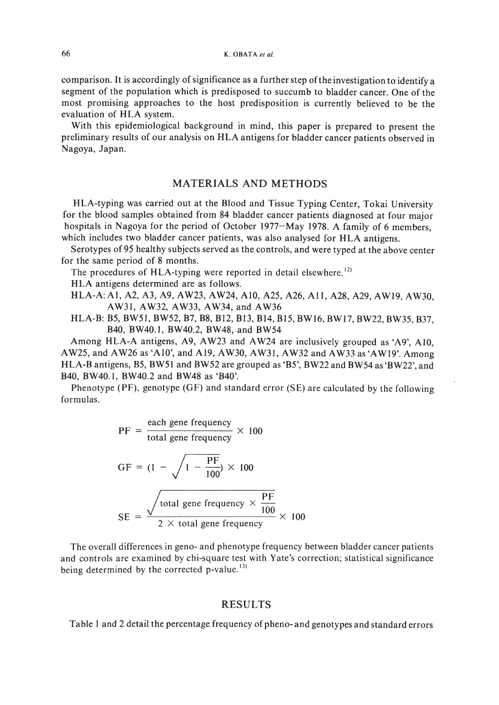comparison. It is accordingly of significance as a further step of the investigation to identify a segment of the population which is predisposed to succumb to bladder cancer. One of the most promising approaches to the host predisposition is currently believed to be the evaluation of HLA system.

With this epidemiological background in mind, this paper is prepared to present the preliminary results of our analysis on HLA antigens for bladder cancer patients observed in Nagoya, Japan.

## MATERIALS AND METHODS

HLA-typing was carried out at the Blood and Tissue Typing Center, Tokai University for the blood samples obtained from 84 bladder cancer patients diagnosed at four major hospitals in Nagoya for the period of October 1977–May 1978. A family of 6 members, which includes two bladder cancer patients, was also analysed for HLA antigens.

Serotypes of95 healthy subjects served as the controls, and were typed at the above center for the same period of 8 months.

The procedures of HLA-typing were reported in detail elsewhere.<sup>12)</sup>

HLA antigens determined are as follows.

HLA-A: AI, A2, A3, A9, AW23, AW24, AIO, A25, A26, All, A28, A29, AWI9, AW30, AW31, AW32, AW33, AW34, and AW36

HLA-B: B5, BW51, BW52, B7, B8, B12, B13, B14, B15, BW16, BW17, BW22, BW35, B37, B40, BW40.1, BW40.2, BW48, and BW54

Among HLA-A antigens, A9, AW23 and AW24 are inclusively grouped as 'A9', AIO, AW25, and AW26 as 'A10', and A19, AW30, AW31, AW32 and AW33 as 'AWI9'. Among HLA-B antigens, B5, BW51 and BW52 are grouped as 'B5', BW22 and BW54 as 'BW22', and B40, BW40.1, BW40.2 and BW48 as 'B40'.

Phenotype (PF), genotype (GF) and standard error (SE) are calculated by the following formulas.

$$
PF = \frac{\text{each gene frequency}}{\text{total gene frequency}} \times 100
$$

$$
GF = (1 - \sqrt{1 - \frac{PF}{100}}) \times 100
$$
  

$$
SE = \frac{\sqrt{\text{total gene frequency} \times \frac{PF}{100}}}{2 \times \text{total gene frequency}} \times 100
$$

The overall differences in geno- and phenotype frequency between bladder cancer patients and controls are examined by chi-square test with Yate's correction; statistical significance being determined by the corrected p-value.<sup>13)</sup>

#### RESULTS

Table 1 and 2 detail the percentage frequency of pheno-and genotypes and standard errors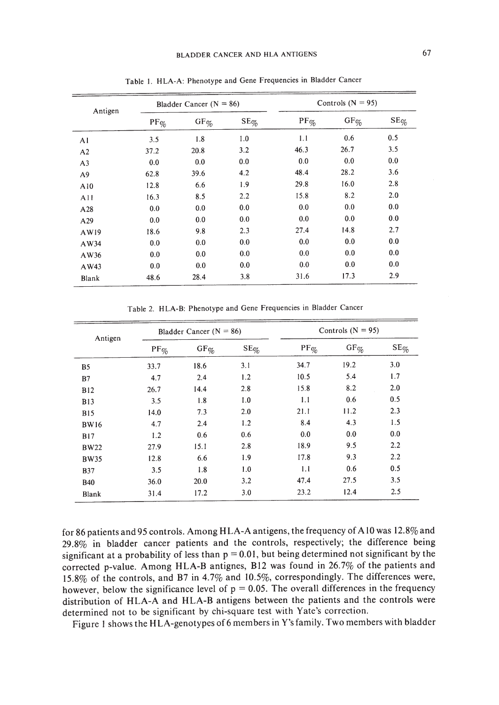| Antigen        | Bladder Cancer ( $N = 86$ ) |           |           | Controls $(N = 95)$               |                                     |                  |
|----------------|-----------------------------|-----------|-----------|-----------------------------------|-------------------------------------|------------------|
|                | $PF\%$                      | $GF_{\%}$ | $SE_{\%}$ | $\text{PF}_{\mathcal{O}_{\!\!O}}$ | $GF_{\mathcal{O}_{\!\!\mathbb{C}}}$ | $\text{SE}_{\%}$ |
| AI             | 3.5                         | 1.8       | 1.0       | 1.1                               | 0.6                                 | 0.5              |
| A2             | 37.2                        | 20.8      | 3.2       | 46.3                              | 26.7                                | 3.5              |
| A <sub>3</sub> | 0.0                         | 0.0       | 0.0       | 0.0                               | 0.0                                 | 0.0              |
| A <sub>9</sub> | 62.8                        | 39.6      | 4.2       | 48.4                              | 28.2                                | 3.6              |
| A10            | 12.8                        | 6.6       | 1.9       | 29.8                              | 16.0                                | 2.8              |
| A11            | 16.3                        | 8.5       | 2.2       | 15.8                              | 8.2                                 | 2.0              |
| A28            | 0.0                         | 0.0       | 0.0       | 0.0                               | 0.0                                 | 0.0              |
| A29            | 0.0                         | 0.0       | 0.0       | 0.0                               | 0.0                                 | 0.0              |
| AW19           | 18.6                        | 9.8       | 2.3       | 27.4                              | 14.8                                | 2.7              |
| AW34           | 0.0                         | 0.0       | 0.0       | 0.0                               | 0.0                                 | 0.0              |
| AW36           | 0.0                         | 0.0       | 0.0       | 0.0                               | 0.0                                 | 0.0              |
| AW43           | 0.0                         | 0.0       | 0.0       | 0.0                               | 0.0                                 | 0.0              |
| Blank          | 48.6                        | 28.4      | 3.8       | 31.6                              | 17.3                                | 2.9              |

Table I. HLA-A: Phenotype and Gene Frequencies in Bladder Cancer

Table 2. HLA-B: Phenotype and Gene Frequencies in Bladder Cancer

| Antigen     | Bladder Cancer $(N = 86)$ |                               |           | Controls $(N = 95)$ |                                           |                  |
|-------------|---------------------------|-------------------------------|-----------|---------------------|-------------------------------------------|------------------|
|             | $PF\%$                    | $\mathrm{GF}_{\mathcal{G}_0}$ | $SE_{\%}$ | $PF\%$              | $\mathrm{GF}_{\widetilde{\mathcal{V}}_0}$ | $\text{SE}_{\%}$ |
| <b>B5</b>   | 33.7                      | 18.6                          | 3.1       | 34.7                | 19.2                                      | 3.0              |
| B7          | 4.7                       | 2.4                           | 1.2       | 10.5                | 5.4                                       | 1.7              |
| <b>B12</b>  | 26.7                      | 14.4                          | 2.8       | 15.8                | 8.2                                       | 2.0              |
| <b>B13</b>  | 3.5                       | 1.8                           | 1.0       | 1.1                 | 0.6                                       | 0.5              |
| <b>B15</b>  | 14.0                      | 7.3                           | 2.0       | 21.1                | 11.2                                      | 2.3              |
| <b>BW16</b> | 4.7                       | 2.4                           | 1.2       | 8.4                 | 4.3                                       | 1.5              |
| <b>B17</b>  | 1.2                       | 0.6                           | 0.6       | 0.0                 | 0.0                                       | 0.0              |
| <b>BW22</b> | 27.9                      | 15.1                          | 2.8       | 18.9                | 9.5                                       | 2.2              |
| <b>BW35</b> | 12.8                      | 6.6                           | 1.9       | 17.8                | 9.3                                       | 2.2              |
| <b>B37</b>  | 3.5                       | 1.8                           | 1.0       | 1.1                 | 0.6                                       | 0.5              |
| <b>B40</b>  | 36.0                      | 20.0                          | 3.2       | 47.4                | 27.5                                      | 3.5              |
| Blank       | 31.4                      | 17.2                          | 3.0       | 23.2                | 12.4                                      | 2.5              |

for 86 patients and 95 controls. Among HLA-A antigens, the frequency of A10 was 12.8% and 29.8% in bladder cancer patients and the controls, respectively; the difference being significant at a probability of less than  $p = 0.01$ , but being determined not significant by the corrected p-value. Among HLA-B antignes, Bl2 was found in 26.7% of the patients and 15.8% of the controls, and B7 in 4.7% and 10.5%, correspondingly. The differences were, however, below the significance level of  $p = 0.05$ . The overall differences in the frequency distribution of HLA-A and HLA-B antigens between the patients and the controls were determined not to be significant by chi-square test with Yate's correction.

Figure I shows the HLA-genotypes of 6 members in Y's family. Two members with bladder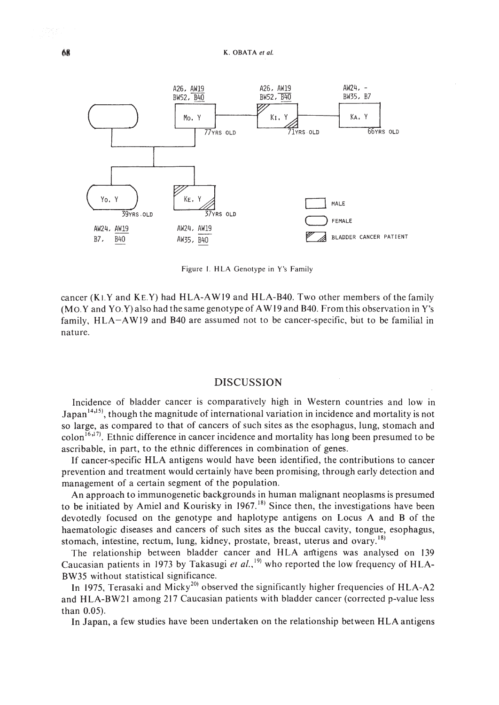

Figure I. HLA Genotype in Y's Family

cancer (KI.Y and KE.Y) had HLA-AW 19 and HLA-B40. Two other members of the family (Mo.Y and Yo.Y)also had the same genotype of AWI9 and B40. From this observation in Y's family, HLA-AWI9 and B40 are assumed not to be cancer-specific, but to be familial in nature.

# DISCUSSION

Incidence of bladder cancer is comparatively high in Western countries and low in Japan  $14,15$ , though the magnitude of international variation in incidence and mortality is not so large, as compared to that of cancers of such sites as the esophagus, lung, stomach and  $\text{colon}^{16,17}$ . Ethnic difference in cancer incidence and mortality has long been presumed to be ascribable, in part, to the ethnic differences in combination of genes.

If cancer-specific HLA antigens would have been identified, the contributions to cancer prevention and treatment would certainly have been promising, through early detection and management of a certain segment of the population.

An approach to immunogenetic backgrounds in human malignant neoplasms is presumed to be initiated by Amiel and Kourisky in  $1967$ .<sup>18)</sup> Since then, the investigations have been devotedly focused on the genotype and haplotype antigens on Locus A and B of the haematologic diseases and cancers of such sites as the buccal cavity, tongue, esophagus, stomach, intestine, rectum, lung, kidney, prostate, breast, uterus and ovary.<sup>18)</sup>

The relationship between bladder cancer and HLA antigens was analysed on 139 Caucasian patients in 1973 by Takasugi et al.,<sup>19)</sup> who reported the low frequency of HLA-BW35 without statistical significance.

In 1975, Terasaki and Micky<sup>20)</sup> observed the significantly higher frequencies of HLA-A2 and HLA-BW21 among 217 Caucasian patients with bladder cancer (corrected p-value less than 0.05).

In Japan, a few studies have been undertaken on the relationship between HLA antigens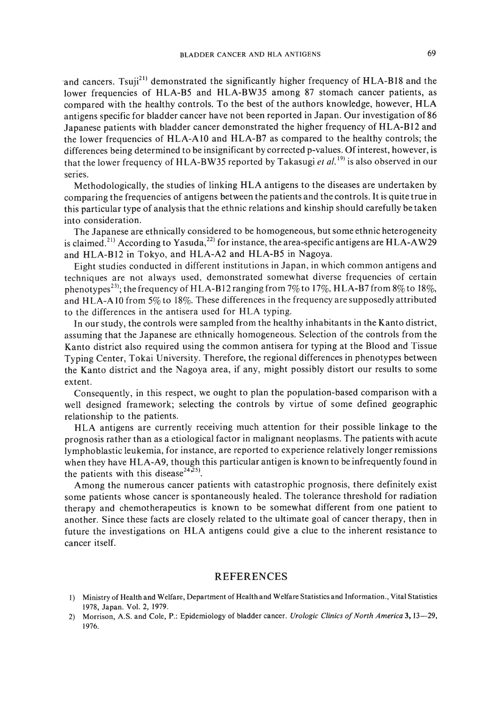and cancers. Tsuji<sup>21)</sup> demonstrated the significantly higher frequency of  $HLA-B18$  and the lower frequencies of HLA-B5 and HLA-BW35 among 87 stomach cancer patients, as compared with the healthy controls. To the best of the authors knowledge, however, HLA antigens specific for bladder cancer have not been reported in Japan. Our investigation of86 Japanese patients with bladder cancer demonstrated the higher frequency of HLA-BI2 and the lower frequencies of HLA-A 10 and HLA-B7 as compared to the healthy controls; the differences being determined to be insignificant by corrected p-values. Of interest, however, is that the lower frequency of HLA-BW35 reported by Takasugi et al.<sup>19)</sup> is also observed in our series.

Methodologically, the studies of linking HLA antigens to the diseases are undertaken by comparing the frequencies of antigens between the patients and the controls. It is quite true in this particular type of analysis that the ethnic relations and kinship should carefully be taken into consideration.

The Japanese are ethnically considered to be homogeneous, but some ethnic heterogeneity is claimed.<sup>21)</sup> According to Yasuda,<sup>22)</sup> for instance, the area-specific antigens are HLA-AW29 and HLA-BI2 in Tokyo, and HLA-A2 and HLA-B5 in Nagoya.

Eight studies conducted in different institutions in Japan, in which common antigens and techniques are not always used, demonstrated somewhat diverse frequencies of certain phenotypes<sup>23</sup>; the frequency of HLA-B12 ranging from 7% to 17%, HLA-B7 from 8% to 18%, and HLA-A 10 from 5% to 18%. These differences in the frequency are supposedly attributed to the differences in the antisera used for HLA typing.

In our study, the controls were sampled from the healthy inhabitants in the Kanto district, assuming that the Japanese are ethnically homogeneous. Selection of the controls from the Kanto district also required using the common antisera for typing at the Blood and Tissue Typing Center, Tokai University. Therefore, the regional differences in phenotypes between the Kanto district and the Nagoya area, if any, might possibly distort our results to some extent.

Consequently, in this respect, we ought to plan the population-based comparison with a well designed framework; selecting the controls by virtue of some defined geographic relationship to the patients.

HLA antigens are currently receiving much attention for their possible linkage to the prognosis rather than as a etiological factor in malignant neoplasms. The patients with acute lymphoblastic leukemia, for instance, are reported to experience relatively longer remissions when they have HLA-A9, though this particular antigen is known to be infrequently found in the patients with this disease<sup>24,25</sup>.

Among the numerous cancer patients with catastrophic prognosis, there definitely exist some patients whose cancer is spontaneously healed. The tolerance threshold for radiation therapy and chemotherapeutics is known to be somewhat different from one patient to another. Since these facts are closely related to the ultimate goal of cancer therapy, then in future the investigations on HLA antigens could give a clue to the inherent resistance to cancer itself.

#### REFERENCES

- I) Ministry of Health and Welfare, Department of Health and Welfare Statistics and Information., Vital Statistics 1978, Japan. Vol. 2, 1979.
- 2) Morrison, A.S. and Cole, P.: Epidemiology of bladder cancer. *Urologic Clinics of North America* 3, 13-29, 1976.